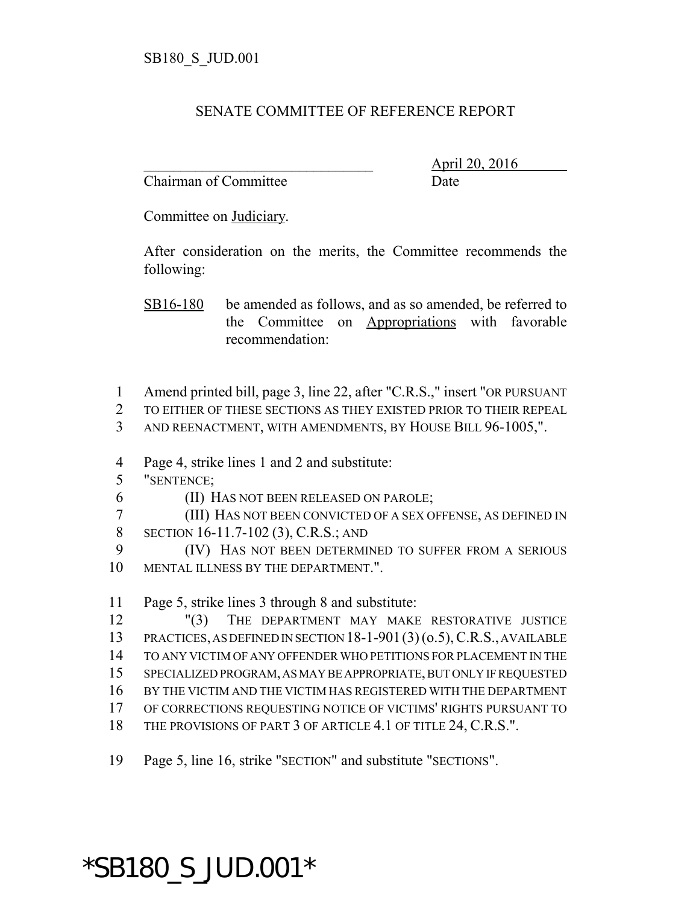#### SENATE COMMITTEE OF REFERENCE REPORT

Chairman of Committee Date

\_\_\_\_\_\_\_\_\_\_\_\_\_\_\_\_\_\_\_\_\_\_\_\_\_\_\_\_\_\_\_ April 20, 2016

Committee on Judiciary.

After consideration on the merits, the Committee recommends the following:

SB16-180 be amended as follows, and as so amended, be referred to the Committee on Appropriations with favorable recommendation:

- 1 Amend printed bill, page 3, line 22, after "C.R.S.," insert "OR PURSUANT
- 2 TO EITHER OF THESE SECTIONS AS THEY EXISTED PRIOR TO THEIR REPEAL
- 3 AND REENACTMENT, WITH AMENDMENTS, BY HOUSE BILL 96-1005,".
- 4 Page 4, strike lines 1 and 2 and substitute:
- 5 "SENTENCE;
- 6 (II) HAS NOT BEEN RELEASED ON PAROLE;

7 (III) HAS NOT BEEN CONVICTED OF A SEX OFFENSE, AS DEFINED IN 8 SECTION 16-11.7-102 (3), C.R.S.; AND

9 (IV) HAS NOT BEEN DETERMINED TO SUFFER FROM A SERIOUS 10 MENTAL ILLNESS BY THE DEPARTMENT."

11 Page 5, strike lines 3 through 8 and substitute:

 "(3) THE DEPARTMENT MAY MAKE RESTORATIVE JUSTICE PRACTICES, AS DEFINED IN SECTION 18-1-901(3) (o.5), C.R.S., AVAILABLE TO ANY VICTIM OF ANY OFFENDER WHO PETITIONS FOR PLACEMENT IN THE SPECIALIZED PROGRAM, AS MAY BE APPROPRIATE, BUT ONLY IF REQUESTED BY THE VICTIM AND THE VICTIM HAS REGISTERED WITH THE DEPARTMENT OF CORRECTIONS REQUESTING NOTICE OF VICTIMS' RIGHTS PURSUANT TO

- 18 THE PROVISIONS OF PART 3 OF ARTICLE 4.1 OF TITLE 24, C.R.S.".
- 19 Page 5, line 16, strike "SECTION" and substitute "SECTIONS".

# \*SB180\_S\_JUD.001\*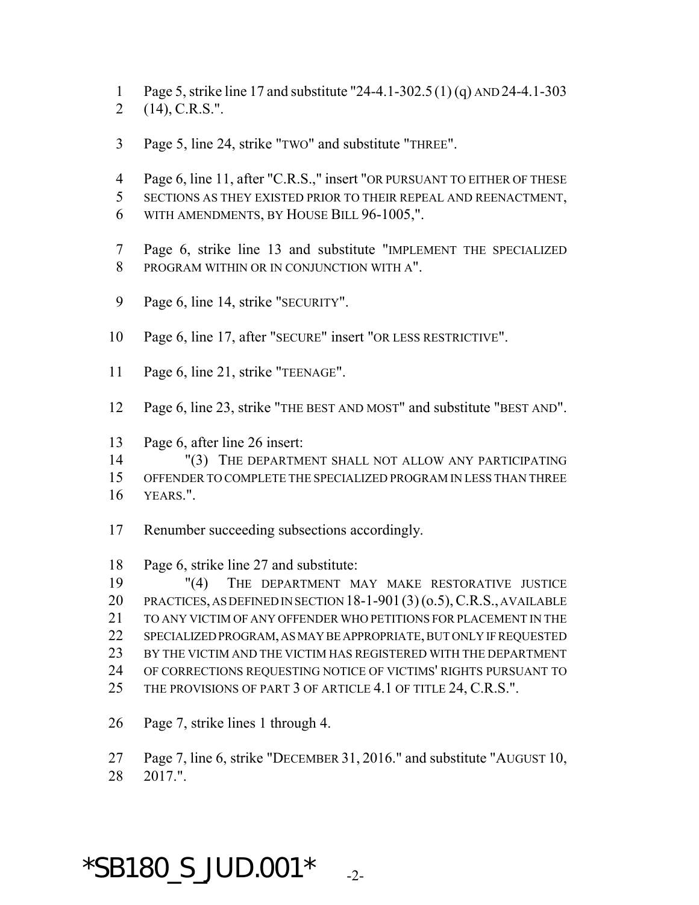- Page 5, strike line 17 and substitute "24-4.1-302.5 (1) (q) AND 24-4.1-303
- (14), C.R.S.".
- Page 5, line 24, strike "TWO" and substitute "THREE".
- Page 6, line 11, after "C.R.S.," insert "OR PURSUANT TO EITHER OF THESE
- SECTIONS AS THEY EXISTED PRIOR TO THEIR REPEAL AND REENACTMENT,
- WITH AMENDMENTS, BY HOUSE BILL 96-1005,".
- Page 6, strike line 13 and substitute "IMPLEMENT THE SPECIALIZED PROGRAM WITHIN OR IN CONJUNCTION WITH A".
- 9 Page 6, line 14, strike "SECURITY".
- Page 6, line 17, after "SECURE" insert "OR LESS RESTRICTIVE".
- Page 6, line 21, strike "TEENAGE".
- Page 6, line 23, strike "THE BEST AND MOST" and substitute "BEST AND".

Page 6, after line 26 insert:

 "(3) THE DEPARTMENT SHALL NOT ALLOW ANY PARTICIPATING OFFENDER TO COMPLETE THE SPECIALIZED PROGRAM IN LESS THAN THREE 16 YEARS."

- Renumber succeeding subsections accordingly.
- Page 6, strike line 27 and substitute:

 "(4) THE DEPARTMENT MAY MAKE RESTORATIVE JUSTICE PRACTICES, AS DEFINED IN SECTION 18-1-901(3) (o.5), C.R.S., AVAILABLE TO ANY VICTIM OF ANY OFFENDER WHO PETITIONS FOR PLACEMENT IN THE SPECIALIZED PROGRAM, AS MAY BE APPROPRIATE, BUT ONLY IF REQUESTED BY THE VICTIM AND THE VICTIM HAS REGISTERED WITH THE DEPARTMENT OF CORRECTIONS REQUESTING NOTICE OF VICTIMS' RIGHTS PURSUANT TO 25 THE PROVISIONS OF PART 3 OF ARTICLE 4.1 OF TITLE 24, C.R.S.".

Page 7, strike lines 1 through 4.

Page 7, line 6, strike "DECEMBER 31, 2016." and substitute "AUGUST 10,

2017.".

## $*$ SB180\_S\_JUD.001 $*$   $_{-2}$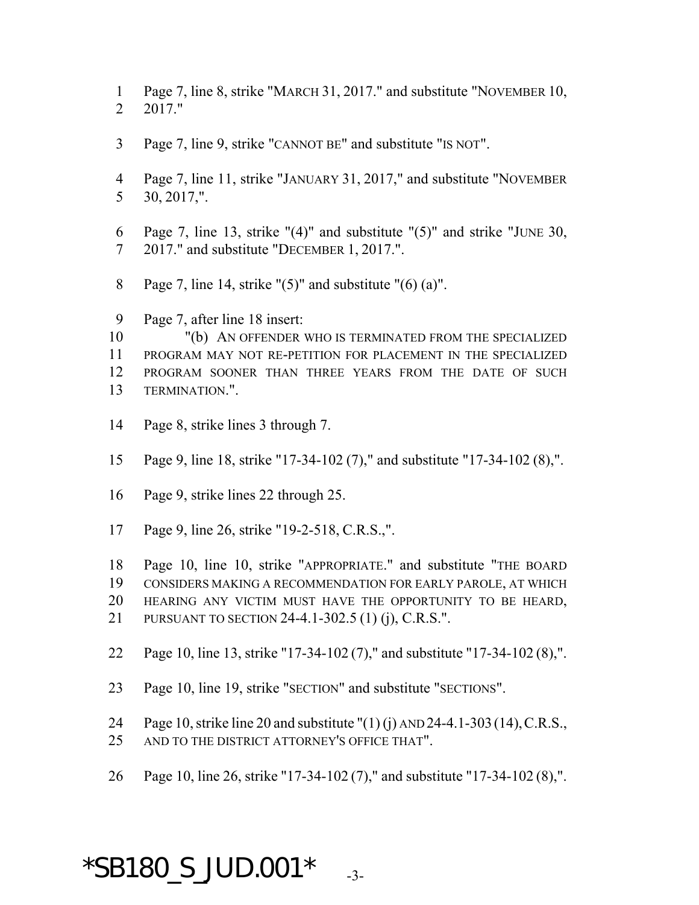- Page 7, line 8, strike "MARCH 31, 2017." and substitute "NOVEMBER 10, 2017."
- Page 7, line 9, strike "CANNOT BE" and substitute "IS NOT".
- Page 7, line 11, strike "JANUARY 31, 2017," and substitute "NOVEMBER 30, 2017,".
- Page 7, line 13, strike "(4)" and substitute "(5)" and strike "JUNE 30, 2017." and substitute "DECEMBER 1, 2017.".
- 8 Page 7, line 14, strike " $(5)$ " and substitute " $(6)$   $(a)$ ".
- Page 7, after line 18 insert:

 "(b) AN OFFENDER WHO IS TERMINATED FROM THE SPECIALIZED PROGRAM MAY NOT RE-PETITION FOR PLACEMENT IN THE SPECIALIZED PROGRAM SOONER THAN THREE YEARS FROM THE DATE OF SUCH TERMINATION.".

- Page 8, strike lines 3 through 7.
- Page 9, line 18, strike "17-34-102 (7)," and substitute "17-34-102 (8),".
- Page 9, strike lines 22 through 25.
- Page 9, line 26, strike "19-2-518, C.R.S.,".

 Page 10, line 10, strike "APPROPRIATE." and substitute "THE BOARD CONSIDERS MAKING A RECOMMENDATION FOR EARLY PAROLE, AT WHICH HEARING ANY VICTIM MUST HAVE THE OPPORTUNITY TO BE HEARD,

- PURSUANT TO SECTION 24-4.1-302.5 (1) (j), C.R.S.".
- Page 10, line 13, strike "17-34-102 (7)," and substitute "17-34-102 (8),".
- Page 10, line 19, strike "SECTION" and substitute "SECTIONS".

Page 10, strike line 20 and substitute "(1) (j) AND 24-4.1-303 (14),C.R.S.,

- AND TO THE DISTRICT ATTORNEY'S OFFICE THAT".
- Page 10, line 26, strike "17-34-102 (7)," and substitute "17-34-102 (8),".

### $*$ SB180\_S\_JUD.001 $*$   $_{-3}$